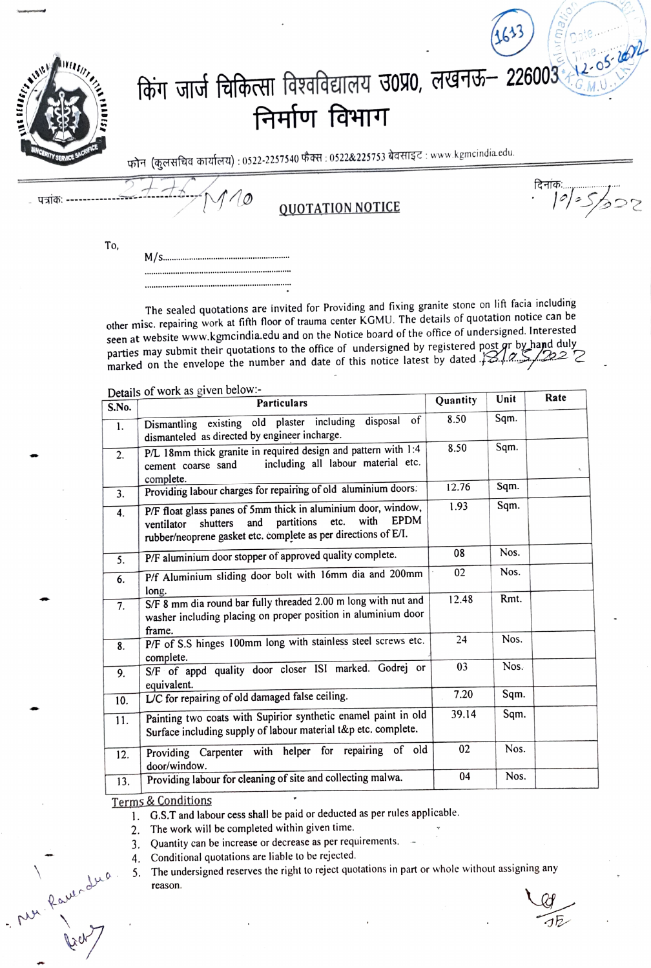|            | निर्माण विभाग<br>फोन (कुलसचिव कार्यालय) : 0522-2257540 फैक्स : 0522&225753 बेवसाइट : www.kgmcindia.edu. | किंग जार्ज चिकित्सा विश्वविद्यालय उ0प्र0, लखनऊ - 226003 |
|------------|---------------------------------------------------------------------------------------------------------|---------------------------------------------------------|
|            |                                                                                                         |                                                         |
| - पत्रांकः | <b>QUOTATION NOTICE</b>                                                                                 | दिनांकः<br><i>.       =     =    </i>                   |

To,

The sealed quotations are invited for Providing and fixing granite stone on lift facia including other misc. repairing work at fifth floor of trauma center KGMU. The details of quotation notice can be seen at website www.kgmcindia.edu and on the Notice board of the office of undersigned. Interested parties may submit their quotations to the office of undersigned by registered post or by hand duly<br>marked on the envelope the number and date of this notice latest by dated  $12.9222$ 

Details of work as given below:-

| S.No.          | Details of $m$ of $m \in \mathbb{R}$ .<br><b>Particulars</b>                                                                                                                                                  |       | Unit | Rate |
|----------------|---------------------------------------------------------------------------------------------------------------------------------------------------------------------------------------------------------------|-------|------|------|
| $\mathbf{1}$ . | of<br>Dismantling existing old plaster including disposal                                                                                                                                                     | 8.50  | Sqm. |      |
|                | dismanteled as directed by engineer incharge.                                                                                                                                                                 | 8.50  | Sqm. |      |
| 2.             | P/L 18mm thick granite in required design and pattern with 1:4<br>including all labour material etc.<br>cement coarse sand<br>complete.                                                                       | 12.76 |      |      |
| 3.             | Providing labour charges for repairing of old aluminium doors.                                                                                                                                                |       | Sqm. |      |
| 4.             | P/F float glass panes of 5mm thick in aluminium door, window,<br><b>EPDM</b><br>with<br>partitions<br>etc.<br>and<br>shutters<br>ventilator<br>rubber/neoprene gasket etc. complete as per directions of E/I. | 1.93  | Sqm. |      |
| 5.             | P/F aluminium door stopper of approved quality complete.                                                                                                                                                      | 08    | Nos. |      |
| 6.             | P/f Aluminium sliding door bolt with 16mm dia and 200mm<br>long.                                                                                                                                              | 02    | Nos. |      |
| 7.             | S/F 8 mm dia round bar fully threaded 2.00 m long with nut and<br>washer including placing on proper position in aluminium door<br>frame.                                                                     |       | Rmt. |      |
| 8.             | P/F of S.S hinges 100mm long with stainless steel screws etc.<br>complete.                                                                                                                                    | 24    | Nos. |      |
| 9.             | S/F of appd quality door closer ISI marked. Godrej or<br>equivalent.                                                                                                                                          | 03    | Nos. |      |
| 10.            | L/C for repairing of old damaged false ceiling.                                                                                                                                                               | 7.20  | Sqm. |      |
| 11.            | Painting two coats with Supirior synthetic enamel paint in old<br>Surface including supply of labour material t&p etc. complete.                                                                              |       | Sqm. |      |
| 12.            | Providing Carpenter with helper for repairing of old<br>door/window.                                                                                                                                          | 02    | Nos. |      |
| 13.            | Providing labour for cleaning of site and collecting malwa.                                                                                                                                                   | 04    | Nos. |      |

## Terms & Conditions

- Mu Raver dus

1. G.S.T and labour cess shall be paid or deducted as per rules applicable.

2. The work will be completed within given time.

3. Quantity can be increase or decrease as per requirements.

Conditional quotations are liable to be rejected. 4.

The undersigned reserves the right to reject quotations in part or whole without assigning any 5. reason.